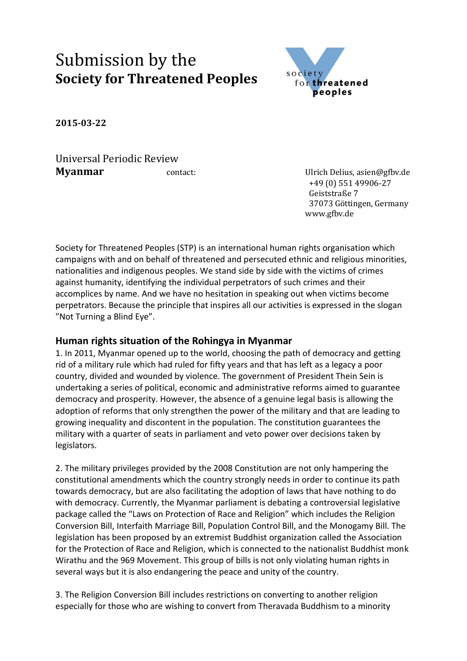## Submission by the **Society for Threatened Peoples**



**2015-03-22**

Universal Periodic Review **Myanmar contact:** Contact: Ulrich Delius, asien@gfbv.de

 +49 (0) 551 49906-27 Geiststraße 7 37073 Göttingen, Germany www.gfbv.de

Society for Threatened Peoples (STP) is an international human rights organisation which campaigns with and on behalf of threatened and persecuted ethnic and religious minorities, nationalities and indigenous peoples. We stand side by side with the victims of crimes against humanity, identifying the individual perpetrators of such crimes and their accomplices by name. And we have no hesitation in speaking out when victims become perpetrators. Because the principle that inspires all our activities is expressed in the slogan "Not Turning a Blind Eye".

## **Human rights situation of the Rohingya in Myanmar**

1. In 2011, Myanmar opened up to the world, choosing the path of democracy and getting rid of a military rule which had ruled for fifty years and that has left as a legacy a poor country, divided and wounded by violence. The government of President Thein Sein is undertaking a series of political, economic and administrative reforms aimed to guarantee democracy and prosperity. However, the absence of a genuine legal basis is allowing the adoption of reforms that only strengthen the power of the military and that are leading to growing inequality and discontent in the population. The constitution guarantees the military with a quarter of seats in parliament and veto power over decisions taken by legislators.

2. The military privileges provided by the 2008 Constitution are not only hampering the constitutional amendments which the country strongly needs in order to continue its path towards democracy, but are also facilitating the adoption of laws that have nothing to do with democracy. Currently, the Myanmar parliament is debating a controversial legislative package called the "Laws on Protection of Race and Religion" which includes the Religion Conversion Bill, Interfaith Marriage Bill, Population Control Bill, and the Monogamy Bill. The legislation has been proposed by an extremist Buddhist organization called the Association for the Protection of Race and Religion, which is connected to the nationalist Buddhist monk Wirathu and the 969 Movement. This group of bills is not only violating human rights in several ways but it is also endangering the peace and unity of the country.

3. The Religion Conversion Bill includes restrictions on converting to another religion especially for those who are wishing to convert from Theravada Buddhism to a minority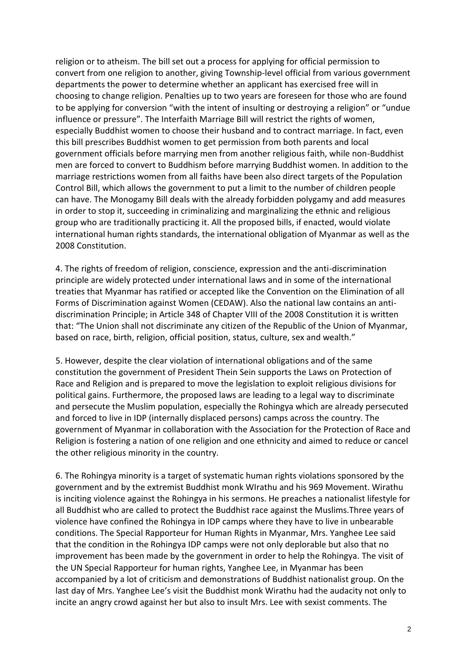religion or to atheism. The bill set out a process for applying for official permission to convert from one religion to another, giving Township-level official from various government departments the power to determine whether an applicant has exercised free will in choosing to change religion. Penalties up to two years are foreseen for those who are found to be applying for conversion "with the intent of insulting or destroying a religion" or "undue influence or pressure". The Interfaith Marriage Bill will restrict the rights of women, especially Buddhist women to choose their husband and to contract marriage. In fact, even this bill prescribes Buddhist women to get permission from both parents and local government officials before marrying men from another religious faith, while non-Buddhist men are forced to convert to Buddhism before marrying Buddhist women. In addition to the marriage restrictions women from all faiths have been also direct targets of the Population Control Bill, which allows the government to put a limit to the number of children people can have. The Monogamy Bill deals with the already forbidden polygamy and add measures in order to stop it, succeeding in criminalizing and marginalizing the ethnic and religious group who are traditionally practicing it. All the proposed bills, if enacted, would violate international human rights standards, the international obligation of Myanmar as well as the 2008 Constitution.

4. The rights of freedom of religion, conscience, expression and the anti-discrimination principle are widely protected under international laws and in some of the international treaties that Myanmar has ratified or accepted like the Convention on the Elimination of all Forms of Discrimination against Women (CEDAW). Also the national law contains an antidiscrimination Principle; in Article 348 of Chapter VIII of the 2008 Constitution it is written that: "The Union shall not discriminate any citizen of the Republic of the Union of Myanmar, based on race, birth, religion, official position, status, culture, sex and wealth."

5. However, despite the clear violation of international obligations and of the same constitution the government of President Thein Sein supports the Laws on Protection of Race and Religion and is prepared to move the legislation to exploit religious divisions for political gains. Furthermore, the proposed laws are leading to a legal way to discriminate and persecute the Muslim population, especially the Rohingya which are already persecuted and forced to live in IDP (internally displaced persons) camps across the country. The government of Myanmar in collaboration with the Association for the Protection of Race and Religion is fostering a nation of one religion and one ethnicity and aimed to reduce or cancel the other religious minority in the country.

6. The Rohingya minority is a target of systematic human rights violations sponsored by the government and by the extremist Buddhist monk WIrathu and his 969 Movement. Wirathu is inciting violence against the Rohingya in his sermons. He preaches a nationalist lifestyle for all Buddhist who are called to protect the Buddhist race against the Muslims.Three years of violence have confined the Rohingya in IDP camps where they have to live in unbearable conditions. The Special Rapporteur for Human Rights in Myanmar, Mrs. Yanghee Lee said that the condition in the Rohingya IDP camps were not only deplorable but also that no improvement has been made by the government in order to help the Rohingya. The visit of the UN Special Rapporteur for human rights, Yanghee Lee, in Myanmar has been accompanied by a lot of criticism and demonstrations of Buddhist nationalist group. On the last day of Mrs. Yanghee Lee's visit the Buddhist monk Wirathu had the audacity not only to incite an angry crowd against her but also to insult Mrs. Lee with sexist comments. The